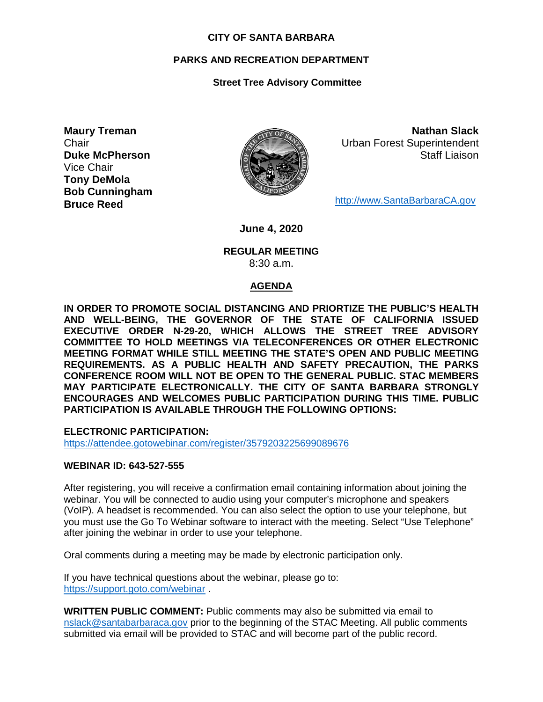#### **CITY OF SANTA BARBARA**

## **PARKS AND RECREATION DEPARTMENT**

# **Street Tree Advisory Committee**

**Maury Treman Chair Duke McPherson** Vice Chair **Tony DeMola Bob Cunningham Bruce Reed**



**Nathan Slack** Urban Forest Superintendent Staff Liaison

[http://www.SantaBarbaraCA.gov](http://www.santabarbaraca.gov/)

**June 4, 2020**

### **REGULAR MEETING** 8:30 a.m.

## **AGENDA**

**IN ORDER TO PROMOTE SOCIAL DISTANCING AND PRIORTIZE THE PUBLIC'S HEALTH AND WELL-BEING, THE GOVERNOR OF THE STATE OF CALIFORNIA ISSUED EXECUTIVE ORDER N-29-20, WHICH ALLOWS THE STREET TREE ADVISORY COMMITTEE TO HOLD MEETINGS VIA TELECONFERENCES OR OTHER ELECTRONIC MEETING FORMAT WHILE STILL MEETING THE STATE'S OPEN AND PUBLIC MEETING REQUIREMENTS. AS A PUBLIC HEALTH AND SAFETY PRECAUTION, THE PARKS CONFERENCE ROOM WILL NOT BE OPEN TO THE GENERAL PUBLIC. STAC MEMBERS MAY PARTICIPATE ELECTRONICALLY. THE CITY OF SANTA BARBARA STRONGLY ENCOURAGES AND WELCOMES PUBLIC PARTICIPATION DURING THIS TIME. PUBLIC PARTICIPATION IS AVAILABLE THROUGH THE FOLLOWING OPTIONS:**

**ELECTRONIC PARTICIPATION:** 

<https://attendee.gotowebinar.com/register/3579203225699089676>

#### **WEBINAR ID: 643-527-555**

After registering, you will receive a confirmation email containing information about joining the webinar. You will be connected to audio using your computer's microphone and speakers (VoIP). A headset is recommended. You can also select the option to use your telephone, but you must use the Go To Webinar software to interact with the meeting. Select "Use Telephone" after joining the webinar in order to use your telephone.

Oral comments during a meeting may be made by electronic participation only.

If you have technical questions about the webinar, please go to: <https://support.goto.com/webinar> .

**WRITTEN PUBLIC COMMENT:** Public comments may also be submitted via email to [nslack@santabarbaraca.gov](mailto:nslack@santabarbaraca.gov) prior to the beginning of the STAC Meeting. All public comments submitted via email will be provided to STAC and will become part of the public record.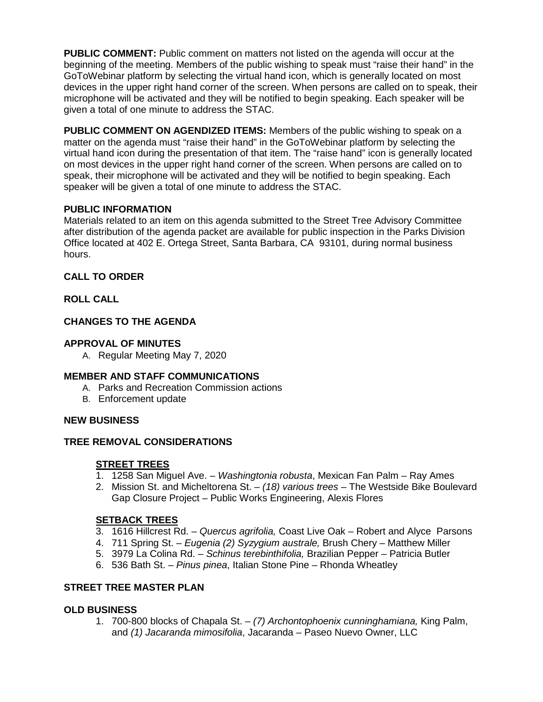**PUBLIC COMMENT:** Public comment on matters not listed on the agenda will occur at the beginning of the meeting. Members of the public wishing to speak must "raise their hand" in the GoToWebinar platform by selecting the virtual hand icon, which is generally located on most devices in the upper right hand corner of the screen. When persons are called on to speak, their microphone will be activated and they will be notified to begin speaking. Each speaker will be given a total of one minute to address the STAC.

**PUBLIC COMMENT ON AGENDIZED ITEMS:** Members of the public wishing to speak on a matter on the agenda must "raise their hand" in the GoToWebinar platform by selecting the virtual hand icon during the presentation of that item. The "raise hand" icon is generally located on most devices in the upper right hand corner of the screen. When persons are called on to speak, their microphone will be activated and they will be notified to begin speaking. Each speaker will be given a total of one minute to address the STAC.

# **PUBLIC INFORMATION**

Materials related to an item on this agenda submitted to the Street Tree Advisory Committee after distribution of the agenda packet are available for public inspection in the Parks Division Office located at 402 E. Ortega Street, Santa Barbara, CA 93101, during normal business hours.

# **CALL TO ORDER**

# **ROLL CALL**

# **CHANGES TO THE AGENDA**

# **APPROVAL OF MINUTES**

A. Regular Meeting May 7, 2020

## **MEMBER AND STAFF COMMUNICATIONS**

- A. Parks and Recreation Commission actions
- B. Enforcement update

## **NEW BUSINESS**

# **TREE REMOVAL CONSIDERATIONS**

# **STREET TREES**

- 1. 1258 San Miguel Ave. *Washingtonia robusta*, Mexican Fan Palm Ray Ames
- 2. Mission St. and Micheltorena St. *(18) various trees –* The Westside Bike Boulevard Gap Closure Project – Public Works Engineering, Alexis Flores

# **SETBACK TREES**

- 3. 1616 Hillcrest Rd. *Quercus agrifolia,* Coast Live Oak Robert and Alyce Parsons
- 4. 711 Spring St. *Eugenia (2) Syzygium australe,* Brush Chery Matthew Miller
- 5. 3979 La Colina Rd. *Schinus terebinthifolia,* Brazilian Pepper Patricia Butler
- 6. 536 Bath St. *Pinus pinea*, Italian Stone Pine Rhonda Wheatley

# **STREET TREE MASTER PLAN**

## **OLD BUSINESS**

1. 700-800 blocks of Chapala St. – *(7) Archontophoenix cunninghamiana,* King Palm, and *(1) Jacaranda mimosifolia*, Jacaranda – Paseo Nuevo Owner, LLC